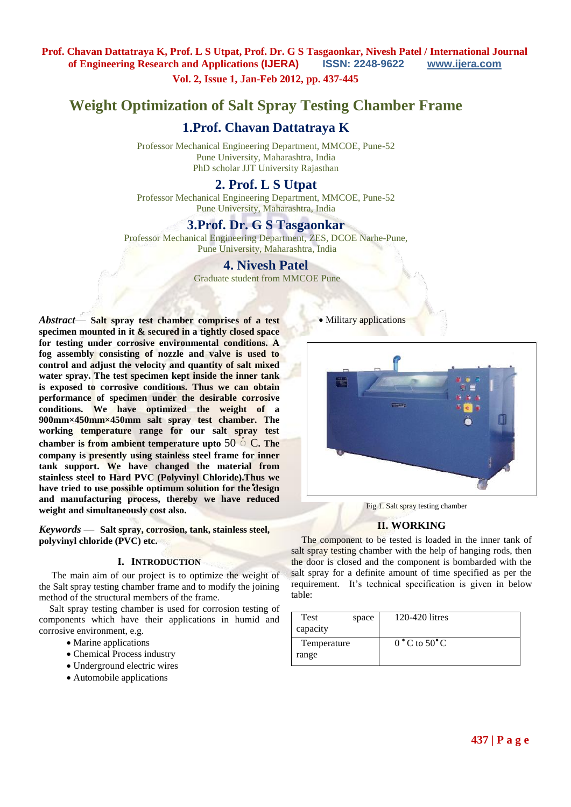**Vol. 2, Issue 1, Jan-Feb 2012, pp. 437-445**

# **Weight Optimization of Salt Spray Testing Chamber Frame**

# **1.Prof. Chavan Dattatraya K**

Professor Mechanical Engineering Department, MMCOE, Pune-52 Pune University, Maharashtra, India PhD scholar JJT University Rajasthan

# **2. Prof. L S Utpat**

Professor Mechanical Engineering Department, MMCOE, Pune-52 Pune University, Maharashtra, India

# **3.Prof. Dr. G S Tasgaonkar**

Professor Mechanical Engineering Department, ZES, DCOE Narhe-Pune, Pune University, Maharashtra, India

# **4. Nivesh Patel**

Graduate student from MMCOE Pune

*Abstract*— **Salt spray test chamber comprises of a test specimen mounted in it & secured in a tightly closed space for testing under corrosive environmental conditions. A fog assembly consisting of nozzle and valve is used to control and adjust the velocity and quantity of salt mixed water spray. The test specimen kept inside the inner tank is exposed to corrosive conditions. Thus we can obtain performance of specimen under the desirable corrosive conditions. We have optimized the weight of a 900mm×450mm×450mm salt spray test chamber. The working temperature range for our salt spray test chamber is from ambient temperature upto** 50 ْ C**. The company is presently using stainless steel frame for inner tank support. We have changed the material from stainless steel to Hard PVC (Polyvinyl Chloride).Thus we have tried to use possible optimum solution for the design and manufacturing process, thereby we have reduced weight and simultaneously cost also.**

*Keywords* — **Salt spray, corrosion, tank, stainless steel, polyvinyl chloride (PVC) etc.**

## **I. INTRODUCTION**

The main aim of our project is to optimize the weight of the Salt spray testing chamber frame and to modify the joining method of the structural members of the frame.

Salt spray testing chamber is used for corrosion testing of components which have their applications in humid and corrosive environment, e.g.

- Marine applications
- Chemical Process industry
- Underground electric wires
- Automobile applications

• Military applications



Fig 1. Salt spray testing chamber

#### **II. WORKING**

The component to be tested is loaded in the inner tank of salt spray testing chamber with the help of hanging rods, then the door is closed and the component is bombarded with the salt spray for a definite amount of time specified as per the requirement. It's technical specification is given in below table:

| Test        | space | 120-420 litres                   |
|-------------|-------|----------------------------------|
| capacity    |       |                                  |
| Temperature |       | $0^{\circ}$ C to 50 $^{\circ}$ C |
| range       |       |                                  |
|             |       |                                  |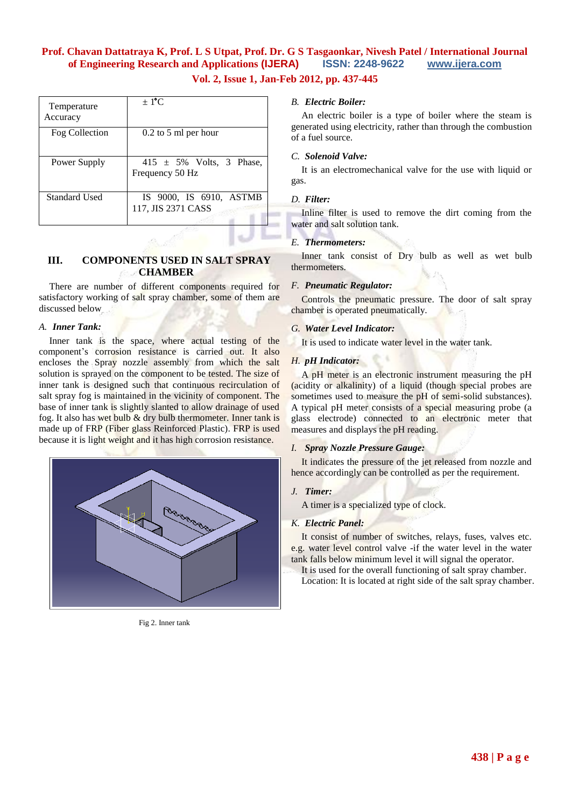# **Vol. 2, Issue 1, Jan-Feb 2012, pp. 437-445**

| Temperature<br>Accuracy | $\pm$ 1 <sup>o</sup> C                          |
|-------------------------|-------------------------------------------------|
| Fog Collection          | $0.2$ to 5 ml per hour                          |
| Power Supply            | 415 $\pm$ 5% Volts, 3 Phase,<br>Frequency 50 Hz |
| Standard Used           | IS 9000, IS 6910, ASTMB<br>117, JIS 2371 CASS   |

# **III. COMPONENTS USED IN SALT SPRAY CHAMBER**

There are number of different components required for satisfactory working of salt spray chamber, some of them are discussed below

## *A. Inner Tank:*

Inner tank is the space, where actual testing of the component's corrosion resistance is carried out. It also encloses the Spray nozzle assembly from which the salt solution is sprayed on the component to be tested. The size of inner tank is designed such that continuous recirculation of salt spray fog is maintained in the vicinity of component. The base of inner tank is slightly slanted to allow drainage of used fog. It also has wet bulb & dry bulb thermometer. Inner tank is made up of FRP (Fiber glass Reinforced Plastic). FRP is used because it is light weight and it has high corrosion resistance.



Fig 2. Inner tank

## *B. Electric Boiler:*

An electric boiler is a type of boiler where the steam is generated using electricity, rather than through the combustion of a fuel source.

### *C. Solenoid Valve:*

It is an electromechanical valve for the use with liquid or gas.

## *D. Filter:*

Inline filter is used to remove the dirt coming from the water and salt solution tank.

### *E. Thermometers:*

Inner tank consist of Dry bulb as well as wet bulb thermometers.

#### *F. Pneumatic Regulator:*

Controls the pneumatic pressure. The door of salt spray chamber is operated pneumatically.

#### *G. Water Level Indicator:*

It is used to indicate water level in the water tank.

## *H. pH Indicator:*

A pH meter is an electronic instrument measuring the pH (acidity or alkalinity) of a liquid (though special probes are sometimes used to measure the pH of semi-solid substances). A typical pH meter consists of a special measuring probe (a glass electrode) connected to an electronic meter that measures and displays the pH reading.

### *I. Spray Nozzle Pressure Gauge:*

It indicates the pressure of the jet released from nozzle and hence accordingly can be controlled as per the requirement.

### *J. Timer:*

A timer is a specialized type of clock.

### *K. Electric Panel:*

It consist of number of switches, relays, fuses, valves etc. e.g. water level control valve -if the water level in the water tank falls below minimum level it will signal the operator.

It is used for the overall functioning of salt spray chamber. Location: It is located at right side of the salt spray chamber.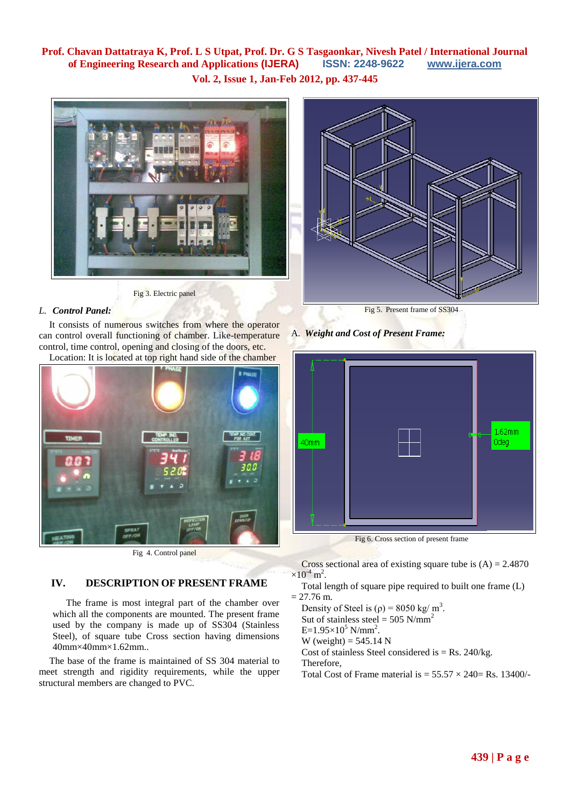**Vol. 2, Issue 1, Jan-Feb 2012, pp. 437-445**





Fig 3. Electric panel

# *L. Control Panel:*

It consists of numerous switches from where the operator can control overall functioning of chamber. Like-temperature control, time control, opening and closing of the doors, etc. Location: It is located at top right hand side of the chamber



Fig 4. Control panel

# **IV. DESCRIPTION OF PRESENT FRAME**

 The frame is most integral part of the chamber over which all the components are mounted. The present frame used by the company is made up of SS304 (Stainless Steel), of square tube Cross section having dimensions 40mm×40mm×1.62mm..

The base of the frame is maintained of SS 304 material to meet strength and rigidity requirements, while the upper structural members are changed to PVC.

A. *Weight and Cost of Present Frame:*



Fig 6. Cross section of present frame

Cross sectional area of existing square tube is  $(A) = 2.4870$  $\times 10^{-4}$  m<sup>2</sup>.

Total length of square pipe required to built one frame (L)  $= 27.76$  m.

Density of Steel is  $(\rho) = 8050 \text{ kg/m}^3$ . Sut of stainless steel =  $505$  N/mm<sup>2</sup>  $E=1.95\times10^5$  N/mm<sup>2</sup>. W (weight) =  $545.14$  N Cost of stainless Steel considered is  $=$  Rs. 240/kg. Therefore, Total Cost of Frame material is  $= 55.57 \times 240 = \text{Rs.} 13400$ /-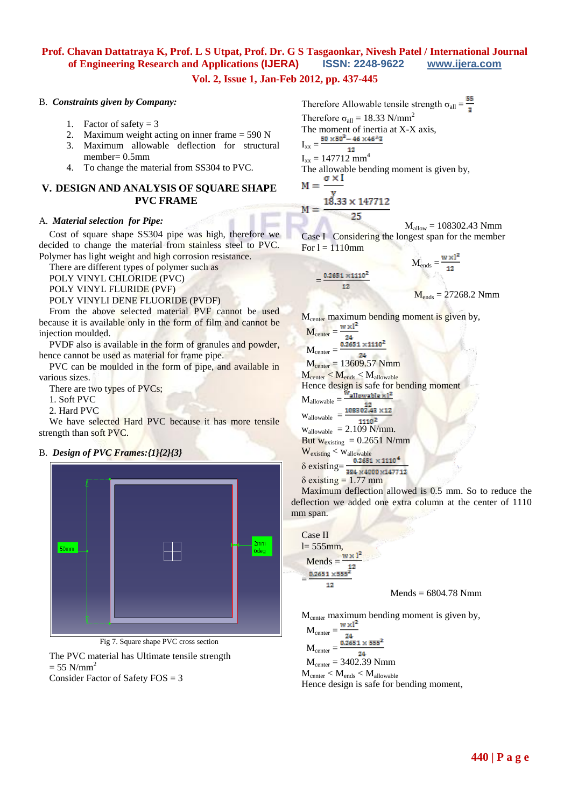# **Vol. 2, Issue 1, Jan-Feb 2012, pp. 437-445**

#### B. *Constraints given by Company:*

- 1. Factor of safety  $= 3$
- 2. Maximum weight acting on inner frame = 590 N
- 3. Maximum allowable deflection for structural member= 0.5mm
- 4. To change the material from SS304 to PVC.

## **V. DESIGN AND ANALYSIS OF SQUARE SHAPE PVC FRAME**

### A. *Material selection for Pipe:*

Cost of square shape SS304 pipe was high, therefore we decided to change the material from stainless steel to PVC. Polymer has light weight and high corrosion resistance.

There are different types of polymer such as

POLY VINYL CHLORIDE (PVC)

POLY VINYL FLURIDE (PVF)

POLY VINYLI DENE FLUORIDE (PVDF)

From the above selected material PVF cannot be used because it is available only in the form of film and cannot be injection moulded.

PVDF also is available in the form of granules and powder, hence cannot be used as material for frame pipe.

PVC can be moulded in the form of pipe, and available in various sizes.

There are two types of PVCs;

1. Soft PVC

2. Hard PVC

We have selected Hard PVC because it has more tensile strength than soft PVC.

## B. *Design of PVC Frames:{1}{2}{3}*



Fig 7. Square shape PVC cross section

The PVC material has Ultimate tensile strength  $= 55$  N/mm<sup>2</sup>

Consider Factor of Safety  $FOS = 3$ 

Therefore Allowable tensile strength  $\sigma_{all} = \frac{55}{3}$ Therefore  $\sigma_{all} = 18.33$  N/mm<sup>2</sup> The moment of inertia at X-X axis,  $I_{xx} = \frac{50 \times 50^3 - 46 \times 46^3}{2}$  $I_{xx} = 147712$  mm<sup>4</sup> The allowable bending moment is given by,<br>M =  $\frac{\sigma \times I}{I}$  $18.33 \times 147712$  $M =$ 25

 $M_{\text{allow}} = 108302.43$  Nmm Case I Considering the longest span for the member For  $l = 1110$ mm  $d^2$ 

$$
M_{\text{ends}} = \frac{0.2651 \times 1110^2}{12}
$$

$$
M_{\text{ends}} = 27268.2 \text{ Nmm}
$$

$$
M_{center} = \frac{w \times l^2}{24}
$$
  
\n
$$
M_{center} = \frac{w \times l^2}{24}
$$
  
\n
$$
M_{center} = \frac{0.2651 \times 1110^2}{24}
$$
  
\n
$$
M_{center} = 13609.57 \text{ Nmm}
$$
  
\n
$$
M_{center} < M_{ends} < M_{allowable}
$$

Hence design is safe for bending moment

 $M_{\text{allowable}} = \frac{W_{\text{allowable}} \times 1^2}{108302.43 \times 12}$ 

 $12$ 

 $=$ 

 $W_{\text{allowable}}$  = 1110<sup>2</sup>  $w_{\text{allowable}} = 2.109 \text{ N/mm}.$ But  $w_{\text{existing}} = 0.2651 \text{ N/mm}$  $W_{\text{existing}} < W_{\text{allowable}}$ 

 $\delta$  existing= $\frac{0.2651 \times 1110^4}{384 \times 4000 \times 147712}$  $δ$  existing = 1.77 mm

Maximum deflection allowed is 0.5 mm. So to reduce the deflection we added one extra column at the center of 1110 mm span.

Case II  $l= 555$ mm, Mends = =  $12$ 

 $Mends = 6804.78$  Nmm

M<sub>center</sub> maximum bending moment is given by,

 $M_{center} =$  $M_{\text{center}} = \frac{\frac{24}{0.2651 \times 555^2}}{9.2651 \times 555^2}$  $M_{center} = 3402.39$  Nmm  $M_{\text{center}} < M_{\text{ends}} < M_{\text{allowable}}$ Hence design is safe for bending moment,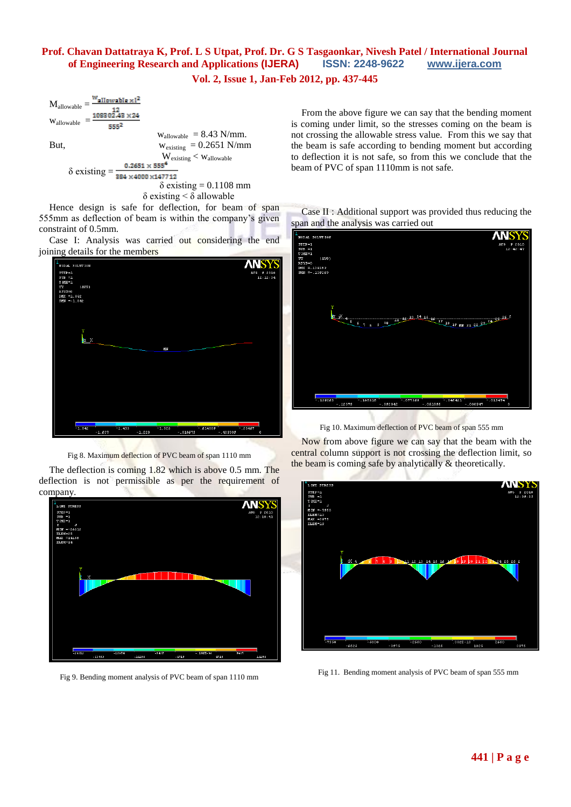**Vol. 2, Issue 1, Jan-Feb 2012, pp. 437-445**



Hence design is safe for deflection, for beam of span 555mm as deflection of beam is within the company's given constraint of 0.5mm.

Case I: Analysis was carried out considering the end joining details for the members



Fig 8. Maximum deflection of PVC beam of span 1110 mm

The deflection is coming 1.82 which is above 0.5 mm. The deflection is not permissible as per the requirement of company.



Fig 9. Bending moment analysis of PVC beam of span 1110 mm

From the above figure we can say that the bending moment is coming under limit, so the stresses coming on the beam is not crossing the allowable stress value. From this we say that the beam is safe according to bending moment but according to deflection it is not safe, so from this we conclude that the beam of PVC of span 1110mm is not safe.





Fig 10. Maximum deflection of PVC beam of span 555 mm

Now from above figure we can say that the beam with the central column support is not crossing the deflection limit, so the beam is coming safe by analytically & theoretically.



Fig 11. Bending moment analysis of PVC beam of span 555 mm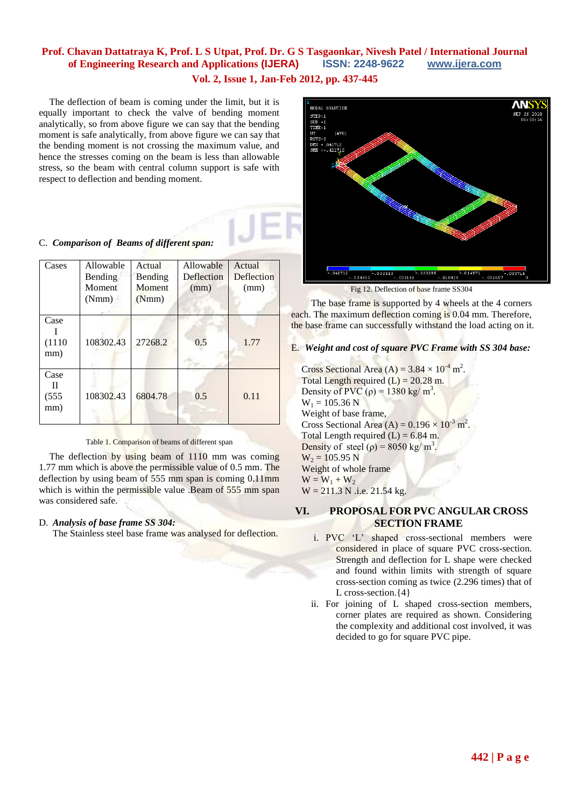**Vol. 2, Issue 1, Jan-Feb 2012, pp. 437-445**

The deflection of beam is coming under the limit, but it is equally important to check the valve of bending moment analytically, so from above figure we can say that the bending moment is safe analytically, from above figure we can say that the bending moment is not crossing the maximum value, and hence the stresses coming on the beam is less than allowable stress, so the beam with central column support is safe with respect to deflection and bending moment.

# C. *Comparison of Beams of different span:*

| Cases                         | Allowable<br><b>Bending</b><br>Moment<br>(Nmm) | Actual<br>Bending<br><b>Moment</b><br>(Nmm) | Allowable<br>Deflection<br>(mm) | Actual<br>Deflection<br>(mm) |
|-------------------------------|------------------------------------------------|---------------------------------------------|---------------------------------|------------------------------|
| Case<br>(1110)<br>mm)         | 108302.43                                      | 27268.2                                     | 0.5                             | 1.77                         |
| Case<br>$\Pi$<br>(555)<br>mm) | 108302.43                                      | 6804.78                                     | 0.5                             | 0.11                         |

### Table 1. Comparison of beams of different span

The deflection by using beam of 1110 mm was coming 1.77 mm which is above the permissible value of 0.5 mm. The deflection by using beam of 555 mm span is coming 0.11mm which is within the permissible value .Beam of 555 mm span was considered safe.

### D. *Analysis of base frame SS 304:*

The Stainless steel base frame was analysed for deflection.



The base frame is supported by 4 wheels at the 4 corners each. The maximum deflection coming is 0.04 mm. Therefore, the base frame can successfully withstand the load acting on it.

#### E. *Weight and cost of square PVC Frame with SS 304 base:*

Cross Sectional Area (A) =  $3.84 \times 10^{-4}$  m<sup>2</sup>. Total Length required  $(L) = 20.28$  m. Density of PVC ( $\rho$ ) = 1380 kg/ m<sup>3</sup>.  $W_1 = 105.36$  N Weight of base frame, Cross Sectional Area (A) =  $0.196 \times 10^{-3}$  m<sup>2</sup>. Total Length required  $(L) = 6.84$  m. Density of steel ( $\rho$ ) = 8050 kg/ m<sup>3</sup>.  $W_2 = 105.95 N$ Weight of whole frame  $W = W_1 + W_2$  $W = 211.3$  N .i.e. 21.54 kg.

## **VI. PROPOSAL FOR PVC ANGULAR CROSS SECTION FRAME**

- i. PVC 'L' shaped cross-sectional members were considered in place of square PVC cross-section. Strength and deflection for L shape were checked and found within limits with strength of square cross-section coming as twice (2.296 times) that of L cross-section.{4}
- ii. For joining of L shaped cross-section members, corner plates are required as shown. Considering the complexity and additional cost involved, it was decided to go for square PVC pipe.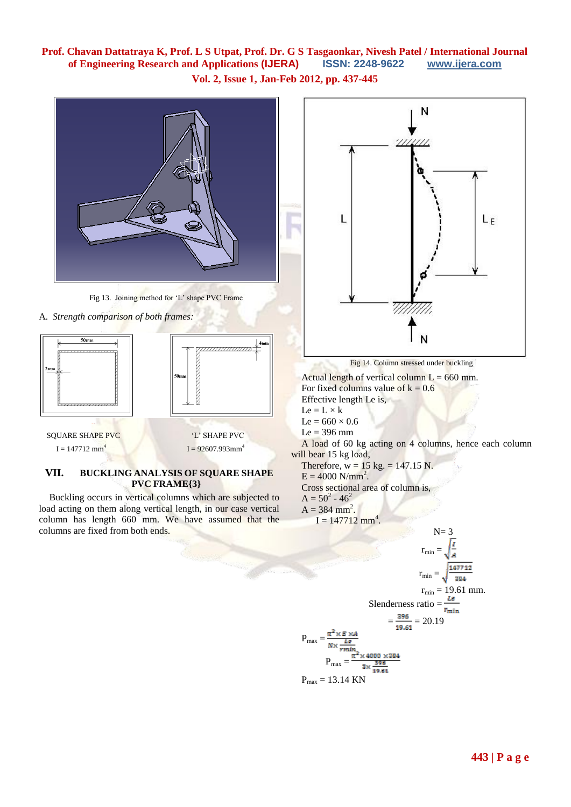**Vol. 2, Issue 1, Jan-Feb 2012, pp. 437-445**

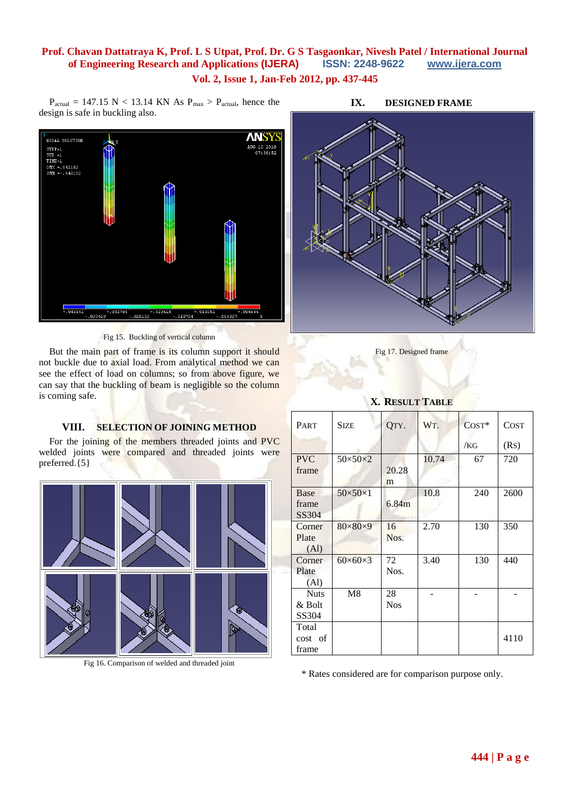$P_{actual} = 147.15 \text{ N} < 13.14 \text{ KN}$  As  $P_{max} > P_{actual}$ , hence the



design is safe in buckling also.

Fig 15. Buckling of vertical column

But the main part of frame is its column support it should not buckle due to axial load. From analytical method we can see the effect of load on columns; so from above figure, we can say that the buckling of beam is negligible so the column is coming safe.

## **VIII. SELECTION OF JOINING METHOD**

For the joining of the members threaded joints and PVC welded joints were compared and threaded joints were preferred.{5}



Fig 16. Comparison of welded and threaded joint

## **IX. DESIGNED FRAME**



Fig 17. Designed frame

# **X. RESULT TABLE**

| PART                                 | <b>SIZE</b>         | QTY.             | WT.   | $COST*$ | <b>COST</b> |
|--------------------------------------|---------------------|------------------|-------|---------|-------------|
|                                      |                     |                  |       | /KG     | (Rs)        |
| <b>PVC</b><br>frame                  | $50\times50\times2$ | 20.28<br>m       | 10.74 | 67      | 720         |
| Base<br>frame<br>SS304               | $50\times50\times1$ | 6.84m            | 10.8  | 240     | 2600        |
| Corner<br>Plate<br>(A <sub>1</sub> ) | $80\times80\times9$ | 16<br>Nos.       | 2.70  | 130     | 350         |
| Corner<br>Plate<br>(A <sub>1</sub> ) | $60\times60\times3$ | 72<br>Nos.       | 3.40  | 130     | 440         |
| <b>Nuts</b><br>& Bolt<br>SS304       | M8                  | 28<br><b>Nos</b> |       |         |             |
| Total<br>cost of<br>frame            |                     |                  |       |         | 4110        |

\* Rates considered are for comparison purpose only.